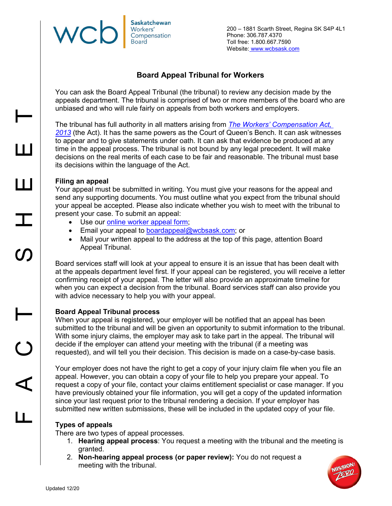#### **Saskatchewan** WC Workers' Compensation **Board**

200 – 1881 Scarth Street, Regina SK S4P 4L1 Phone: 306.787.4370 Toll free: 1.800.667.7590 Website: [www.wcbsask.com](http://www.wcbsask.com/)

# **Board Appeal Tribunal for Workers**

You can ask the Board Appeal Tribunal (the tribunal) to review any decision made by the appeals department. The tribunal is comprised of two or more members of the board who are unbiased and who will rule fairly on appeals from both workers and employers.

The tribunal has full authority in all matters arising from *[The Workers' Compensation Act,](http://www.qp.gov.sk.ca/documents/English/Statutes/Statutes/W17-11.pdf)  [2013](http://www.qp.gov.sk.ca/documents/English/Statutes/Statutes/W17-11.pdf)* (the Act). It has the same powers as the Court of Queen's Bench. It can ask witnesses to appear and to give statements under oath. It can ask that evidence be produced at any time in the appeal process. The tribunal is not bound by any legal precedent. It will make decisions on the real merits of each case to be fair and reasonable. The tribunal must base its decisions within the language of the Act.

## **Filing an appeal**

Your appeal must be submitted in writing. You must give your reasons for the appeal and send any supporting documents. You must outline what you expect from the tribunal should your appeal be accepted. Please also indicate whether you wish to meet with the tribunal to present your case. To submit an appeal:

- Use our [online worker appeal form;](https://myaccount.wcbsask.com/online-services/worker-appeal)
- Email your appeal to [boardappeal@wcbsask.com;](mailto:boardappeal@wcbsask.com) or
- Mail your written appeal to the address at the top of this page, attention Board Appeal Tribunal.

Board services staff will look at your appeal to ensure it is an issue that has been dealt with at the appeals department level first. If your appeal can be registered, you will receive a letter confirming receipt of your appeal. The letter will also provide an approximate timeline for when you can expect a decision from the tribunal. Board services staff can also provide you with advice necessary to help you with your appeal.

## **Board Appeal Tribunal process**

When your appeal is registered, your employer will be notified that an appeal has been submitted to the tribunal and will be given an opportunity to submit information to the tribunal. With some injury claims, the employer may ask to take part in the appeal. The tribunal will decide if the employer can attend your meeting with the tribunal (if a meeting was requested), and will tell you their decision. This decision is made on a case-by-case basis.

Your employer does not have the right to get a copy of your injury claim file when you file an appeal. However, you can obtain a copy of your file to help you prepare your appeal. To request a copy of your file, contact your claims entitlement specialist or case manager. If you have previously obtained your file information, you will get a copy of the updated information since your last request prior to the tribunal rendering a decision. If your employer has submitted new written submissions, these will be included in the updated copy of your file.

# **Types of appeals**

There are two types of appeal processes.

- 1. **Hearing appeal process**: You request a meeting with the tribunal and the meeting is granted.
- 2. **Non-hearing appeal process (or paper review):** You do not request a meeting with the tribunal.



 $\mathbf{I}$ 

 $\vdash$